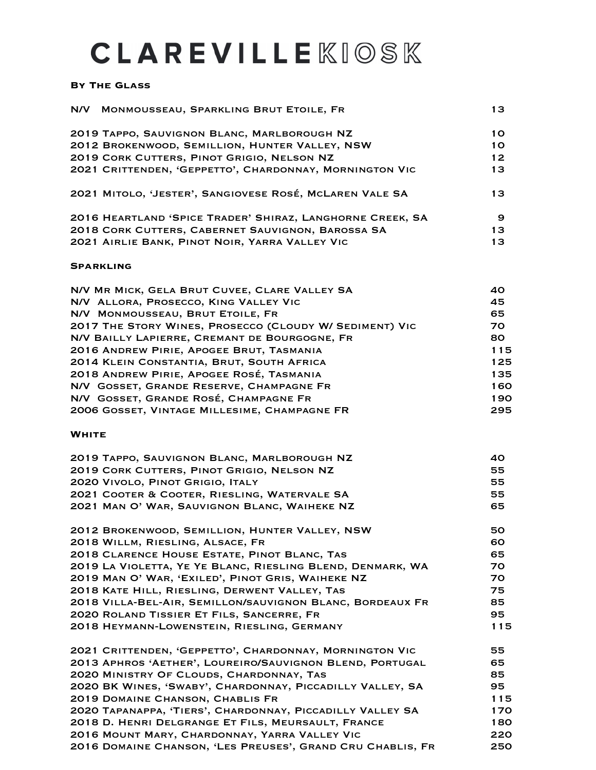# **CLAREVILLE KIOSK**

#### **By The Glass**

|              | N/V MONMOUSSEAU, SPARKLING BRUT ETOILE, FR                 | 13        |
|--------------|------------------------------------------------------------|-----------|
|              | 2019 TAPPO, SAUVIGNON BLANC, MARLBOROUGH NZ                | 10        |
|              | 2012 BROKENWOOD, SEMILLION, HUNTER VALLEY, NSW             | <b>10</b> |
|              | 2019 CORK CUTTERS, PINOT GRIGIO, NELSON NZ                 | 12        |
|              | 2021 CRITTENDEN, 'GEPPETTO', CHARDONNAY, MORNINGTON VIC    | 13        |
|              | 2021 MITOLO, 'JESTER', SANGIOVESE ROSÉ, MCLAREN VALE SA    | 13        |
|              | 2016 HEARTLAND 'SPICE TRADER' SHIRAZ, LANGHORNE CREEK, SA  | 9         |
|              | 2018 CORK CUTTERS, CABERNET SAUVIGNON, BAROSSA SA          | 13        |
|              | 2021 AIRLIE BANK, PINOT NOIR, YARRA VALLEY VIC             | 13        |
|              | <b>SPARKLING</b>                                           |           |
|              | N/V MR MICK, GELA BRUT CUVEE, CLARE VALLEY SA              | 40        |
|              | N/V ALLORA, PROSECCO, KING VALLEY VIC                      | 45        |
|              | N/V MONMOUSSEAU, BRUT ETOILE, FR                           | 65        |
|              | 2017 THE STORY WINES, PROSECCO (CLOUDY W/ SEDIMENT) VIC    | 70        |
|              | N/V BAILLY LAPIERRE, CREMANT DE BOURGOGNE, FR              | 80        |
|              | 2016 ANDREW PIRIE, APOGEE BRUT, TASMANIA                   | 115       |
|              | 2014 KLEIN CONSTANTIA, BRUT, SOUTH AFRICA                  | 125       |
|              | 2018 ANDREW PIRIE, APOGEE ROSÉ, TASMANIA                   | 135       |
|              | N/V GOSSET, GRANDE RESERVE, CHAMPAGNE FR                   | 160       |
|              | N/V GOSSET, GRANDE ROSÉ, CHAMPAGNE FR                      | 190       |
|              | 2006 GOSSET, VINTAGE MILLESIME, CHAMPAGNE FR               | 295       |
| <b>WHITE</b> |                                                            |           |
|              | 2019 TAPPO, SAUVIGNON BLANC, MARLBOROUGH NZ                | 40        |
|              | 2019 CORK CUTTERS, PINOT GRIGIO, NELSON NZ                 | 55        |
|              | 2020 VIVOLO, PINOT GRIGIO, ITALY                           | 55        |
|              | 2021 COOTER & COOTER, RIESLING, WATERVALE SA               | 55        |
|              | 2021 MAN O' WAR, SAUVIGNON BLANC, WAIHEKE NZ               | 65        |
|              | 2012 BROKENWOOD, SEMILLION, HUNTER VALLEY, NSW             | 50        |
|              | 2018 WILLM, RIESLING, ALSACE, FR                           | 60        |
|              | 2018 CLARENCE HOUSE ESTATE, PINOT BLANC, TAS               | 65        |
|              | 2019 LA VIOLETTA, YE YE BLANC, RIESLING BLEND, DENMARK, WA | 70.       |
|              | 2019 MAN O' WAR, 'EXILED', PINOT GRIS, WAIHEKE NZ          | 70.       |
|              | 2018 KATE HILL, RIESLING, DERWENT VALLEY, TAS              | 75        |
|              | 2018 VILLA-BEL-AIR, SEMILLON/SAUVIGNON BLANC, BORDEAUX FR  | 85        |
|              | 2020 ROLAND TISSIER ET FILS, SANCERRE, FR                  | 95        |
|              | 2018 HEYMANN-LOWENSTEIN, RIESLING, GERMANY                 | 115       |
|              | 2021 CRITTENDEN, 'GEPPETTO', CHARDONNAY, MORNINGTON VIC    | 55        |
|              | 2013 APHROS 'AETHER', LOUREIRO/SAUVIGNON BLEND, PORTUGAL   | 65        |
|              | 2020 MINISTRY OF CLOUDS, CHARDONNAY, TAS                   | 85        |
|              | 2020 BK WINES, 'SWABY', CHARDONNAY, PICCADILLY VALLEY, SA  | 95        |
|              | 2019 DOMAINE CHANSON, CHABLIS FR                           | 115       |
|              | 2020 TAPANAPPA, 'TIERS', CHARDONNAY, PICCADILLY VALLEY SA  | 170       |

2018 D. Henri Delgrange Et Fils, Meursault, France 180 2016 Mount Mary, Chardonnay, Yarra Valley Vic 220 2016 Domaine Chanson, 'Les Preuses', Grand Cru Chablis, Fr 250